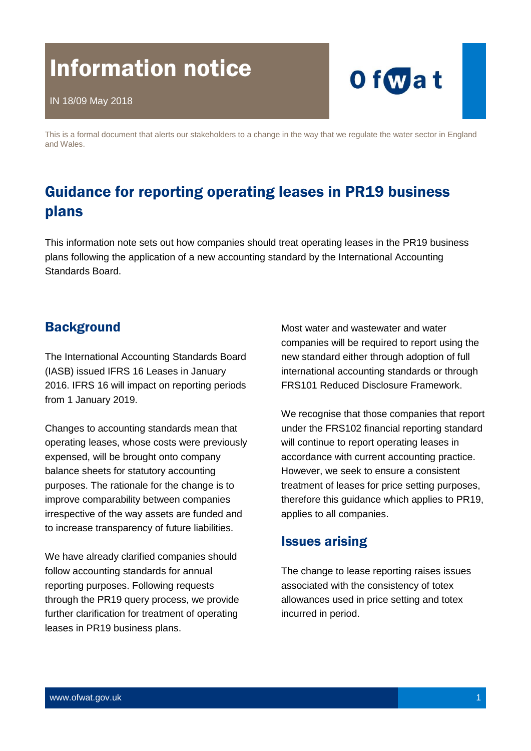# Information notice



This is a formal document that alerts our stakeholders to a change in the way that we regulate the water sector in England and Wales.

# Guidance for reporting operating leases in PR19 business plans

This information note sets out how companies should treat operating leases in the PR19 business plans following the application of a new accounting standard by the International Accounting Standards Board.

# **Background**

The International Accounting Standards Board (IASB) issued IFRS 16 Leases in January 2016. IFRS 16 will impact on reporting periods from 1 January 2019.

Changes to accounting standards mean that operating leases, whose costs were previously expensed, will be brought onto company balance sheets for statutory accounting purposes. The rationale for the change is to improve comparability between companies irrespective of the way assets are funded and to increase transparency of future liabilities.

We have already clarified companies should follow accounting standards for annual reporting purposes. Following requests through the PR19 query process, we provide further clarification for treatment of operating leases in PR19 business plans.

Most water and wastewater and water companies will be required to report using the new standard either through adoption of full international accounting standards or through FRS101 Reduced Disclosure Framework.

We recognise that those companies that report under the FRS102 financial reporting standard will continue to report operating leases in accordance with current accounting practice. However, we seek to ensure a consistent treatment of leases for price setting purposes, therefore this guidance which applies to PR19, applies to all companies.

# Issues arising

The change to lease reporting raises issues associated with the consistency of totex allowances used in price setting and totex incurred in period.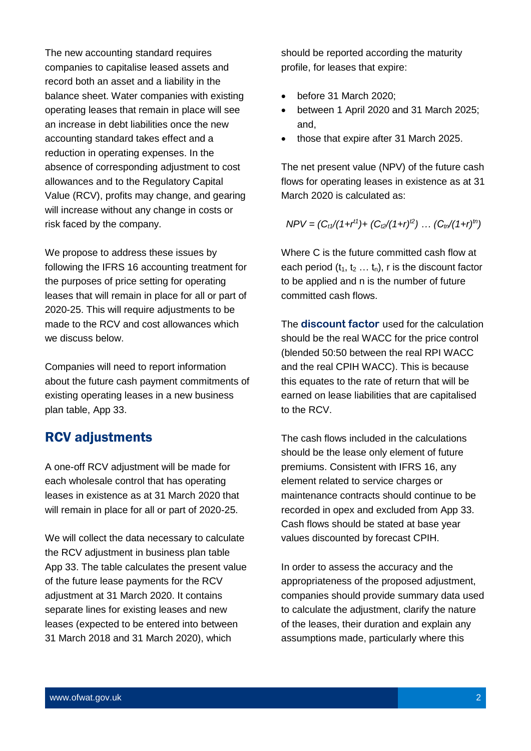The new accounting standard requires companies to capitalise leased assets and record both an asset and a liability in the balance sheet. Water companies with existing operating leases that remain in place will see an increase in debt liabilities once the new accounting standard takes effect and a reduction in operating expenses. In the absence of corresponding adjustment to cost allowances and to the Regulatory Capital Value (RCV), profits may change, and gearing will increase without any change in costs or risk faced by the company.

We propose to address these issues by following the IFRS 16 accounting treatment for the purposes of price setting for operating leases that will remain in place for all or part of 2020-25. This will require adjustments to be made to the RCV and cost allowances which we discuss below.

Companies will need to report information about the future cash payment commitments of existing operating leases in a new business plan table, App 33.

# RCV adjustments

A one-off RCV adjustment will be made for each wholesale control that has operating leases in existence as at 31 March 2020 that will remain in place for all or part of 2020-25.

We will collect the data necessary to calculate the RCV adjustment in business plan table App 33. The table calculates the present value of the future lease payments for the RCV adjustment at 31 March 2020. It contains separate lines for existing leases and new leases (expected to be entered into between 31 March 2018 and 31 March 2020), which

should be reported according the maturity profile, for leases that expire:

- before 31 March 2020;
- between 1 April 2020 and 31 March 2025; and,
- those that expire after 31 March 2025.

The net present value (NPV) of the future cash flows for operating leases in existence as at 31 March 2020 is calculated as:

$$
NPV = (C_{t1}/(1+r^{t1}) + (C_{t2}/(1+r)^{t2}) \dots (C_{tn}/(1+r)^{tn})
$$

Where C is the future committed cash flow at each period  $(t_1, t_2 ... t_n)$ , r is the discount factor to be applied and n is the number of future committed cash flows.

The **discount factor** used for the calculation should be the real WACC for the price control (blended 50:50 between the real RPI WACC and the real CPIH WACC). This is because this equates to the rate of return that will be earned on lease liabilities that are capitalised to the RCV.

The cash flows included in the calculations should be the lease only element of future premiums. Consistent with IFRS 16, any element related to service charges or maintenance contracts should continue to be recorded in opex and excluded from App 33. Cash flows should be stated at base year values discounted by forecast CPIH.

In order to assess the accuracy and the appropriateness of the proposed adjustment, companies should provide summary data used to calculate the adjustment, clarify the nature of the leases, their duration and explain any assumptions made, particularly where this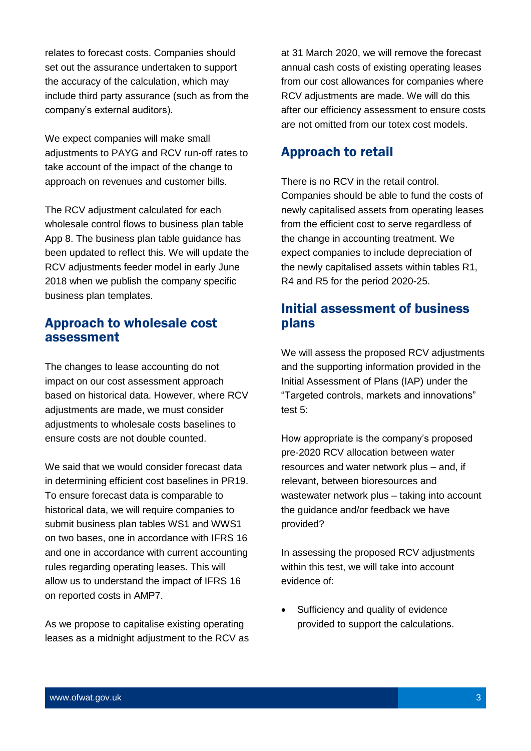relates to forecast costs. Companies should set out the assurance undertaken to support the accuracy of the calculation, which may include third party assurance (such as from the company's external auditors).

We expect companies will make small adjustments to PAYG and RCV run-off rates to take account of the impact of the change to approach on revenues and customer bills.

The RCV adjustment calculated for each wholesale control flows to business plan table App 8. The business plan table guidance has been updated to reflect this. We will update the RCV adjustments feeder model in early June 2018 when we publish the company specific business plan templates.

#### Approach to wholesale cost assessment

The changes to lease accounting do not impact on our cost assessment approach based on historical data. However, where RCV adjustments are made, we must consider adjustments to wholesale costs baselines to ensure costs are not double counted.

We said that we would consider forecast data in determining efficient cost baselines in PR19. To ensure forecast data is comparable to historical data, we will require companies to submit business plan tables WS1 and WWS1 on two bases, one in accordance with IFRS 16 and one in accordance with current accounting rules regarding operating leases. This will allow us to understand the impact of IFRS 16 on reported costs in AMP7.

As we propose to capitalise existing operating leases as a midnight adjustment to the RCV as at 31 March 2020, we will remove the forecast annual cash costs of existing operating leases from our cost allowances for companies where RCV adjustments are made. We will do this after our efficiency assessment to ensure costs are not omitted from our totex cost models.

# Approach to retail

There is no RCV in the retail control. Companies should be able to fund the costs of newly capitalised assets from operating leases from the efficient cost to serve regardless of the change in accounting treatment. We expect companies to include depreciation of the newly capitalised assets within tables R1, R4 and R5 for the period 2020-25.

# Initial assessment of business plans

We will assess the proposed RCV adjustments and the supporting information provided in the Initial Assessment of Plans (IAP) under the "Targeted controls, markets and innovations" test 5:

How appropriate is the company's proposed pre-2020 RCV allocation between water resources and water network plus – and, if relevant, between bioresources and wastewater network plus – taking into account the guidance and/or feedback we have provided?

In assessing the proposed RCV adjustments within this test, we will take into account evidence of:

• Sufficiency and quality of evidence provided to support the calculations.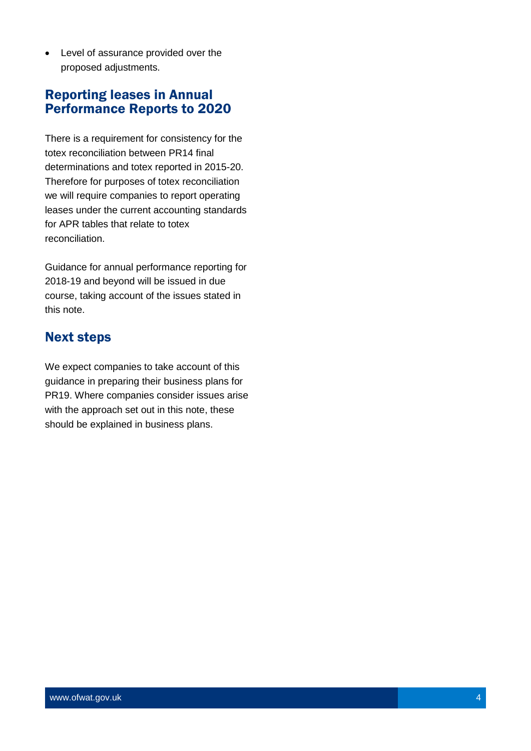Level of assurance provided over the proposed adjustments.

# Reporting leases in Annual Performance Reports to 2020

There is a requirement for consistency for the totex reconciliation between PR14 final determinations and totex reported in 2015-20. Therefore for purposes of totex reconciliation we will require companies to report operating leases under the current accounting standards for APR tables that relate to totex reconciliation.

Guidance for annual performance reporting for 2018-19 and beyond will be issued in due course, taking account of the issues stated in this note.

# Next steps

We expect companies to take account of this guidance in preparing their business plans for PR19. Where companies consider issues arise with the approach set out in this note, these should be explained in business plans.